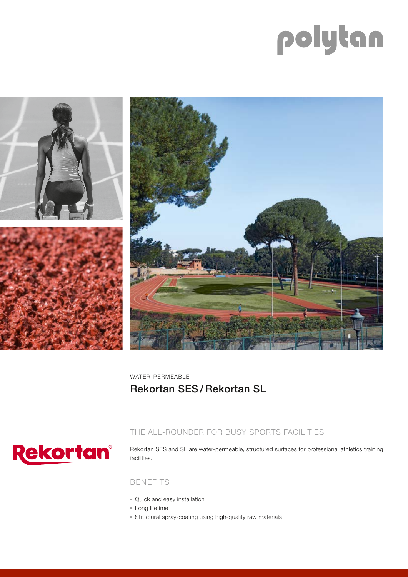# polytan



WATER-PERMEABLE Rekortan SES / Rekortan SL



## THE ALL-ROUNDER FOR BUSY SPORTS FACILITIES

Rekortan SES and SL are water-permeable, structured surfaces for professional athletics training facilities.

## BENEFITS

- Quick and easy installation
- Long lifetime
- Structural spray-coating using high-quality raw materials